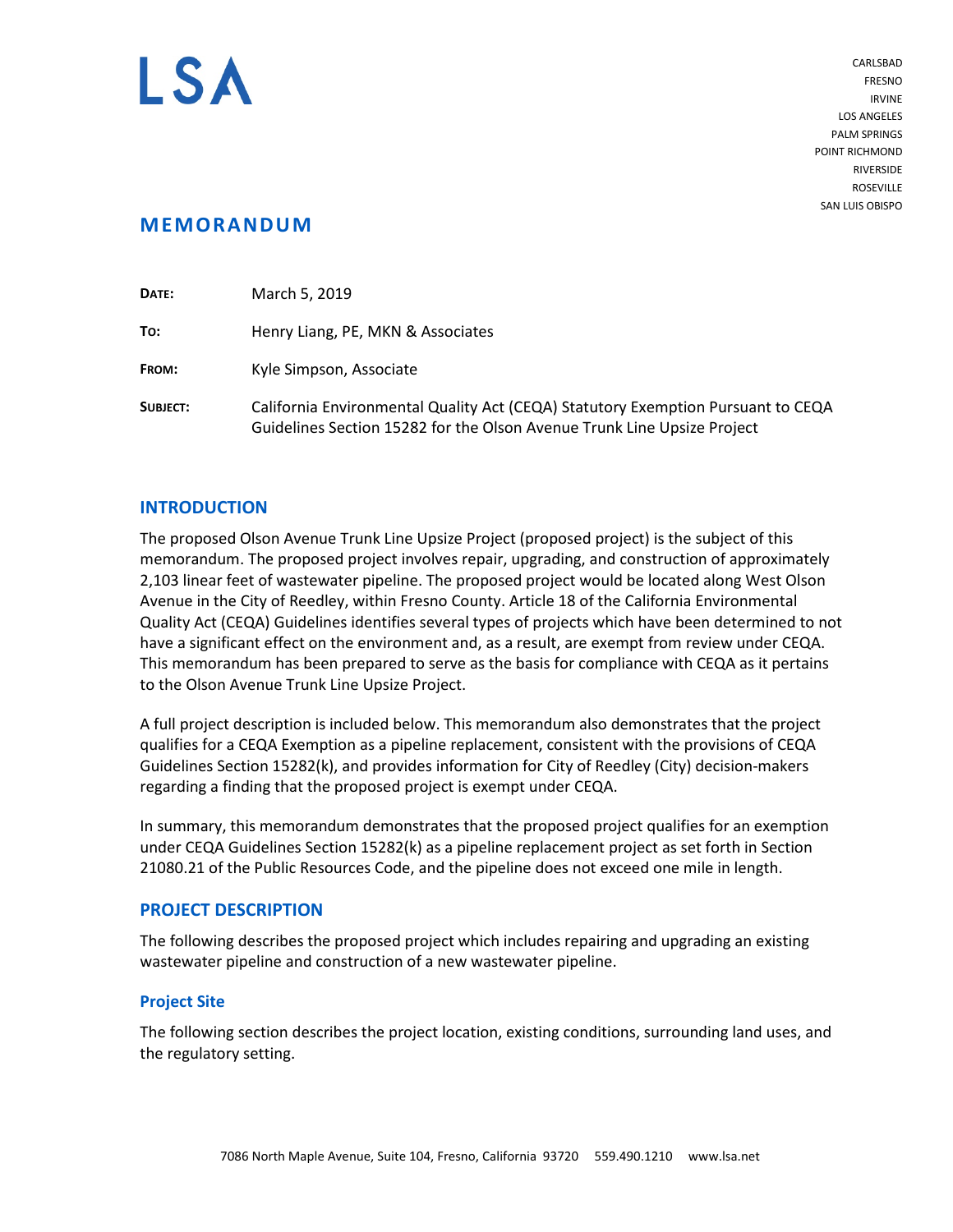

CARLSBAD FRESNO IRVINE LOS ANGELES PALM SPRINGS POINT RICHMOND RIVERSIDE ROSEVILLE SAN LUIS OBISPO

# **MEMORANDUM**

| DATE:           | March 5, 2019                                                                                                                                               |  |
|-----------------|-------------------------------------------------------------------------------------------------------------------------------------------------------------|--|
| To:             | Henry Liang, PE, MKN & Associates                                                                                                                           |  |
| FROM:           | Kyle Simpson, Associate                                                                                                                                     |  |
| <b>SUBJECT:</b> | California Environmental Quality Act (CEQA) Statutory Exemption Pursuant to CEQA<br>Guidelines Section 15282 for the Olson Avenue Trunk Line Upsize Project |  |

## **INTRODUCTION**

The proposed Olson Avenue Trunk Line Upsize Project (proposed project) is the subject of this memorandum. The proposed project involves repair, upgrading, and construction of approximately 2,103 linear feet of wastewater pipeline. The proposed project would be located along West Olson Avenue in the City of Reedley, within Fresno County. Article 18 of the California Environmental Quality Act (CEQA) Guidelines identifies several types of projects which have been determined to not have a significant effect on the environment and, as a result, are exempt from review under CEQA. This memorandum has been prepared to serve as the basis for compliance with CEQA as it pertains to the Olson Avenue Trunk Line Upsize Project.

A full project description is included below. This memorandum also demonstrates that the project qualifies for a CEQA Exemption as a pipeline replacement, consistent with the provisions of CEQA Guidelines Section 15282(k), and provides information for City of Reedley (City) decision-makers regarding a finding that the proposed project is exempt under CEQA.

In summary, this memorandum demonstrates that the proposed project qualifies for an exemption under CEQA Guidelines Section 15282(k) as a pipeline replacement project as set forth in Section 21080.21 of the Public Resources Code, and the pipeline does not exceed one mile in length.

## **PROJECT DESCRIPTION**

The following describes the proposed project which includes repairing and upgrading an existing wastewater pipeline and construction of a new wastewater pipeline.

## **Project Site**

The following section describes the project location, existing conditions, surrounding land uses, and the regulatory setting.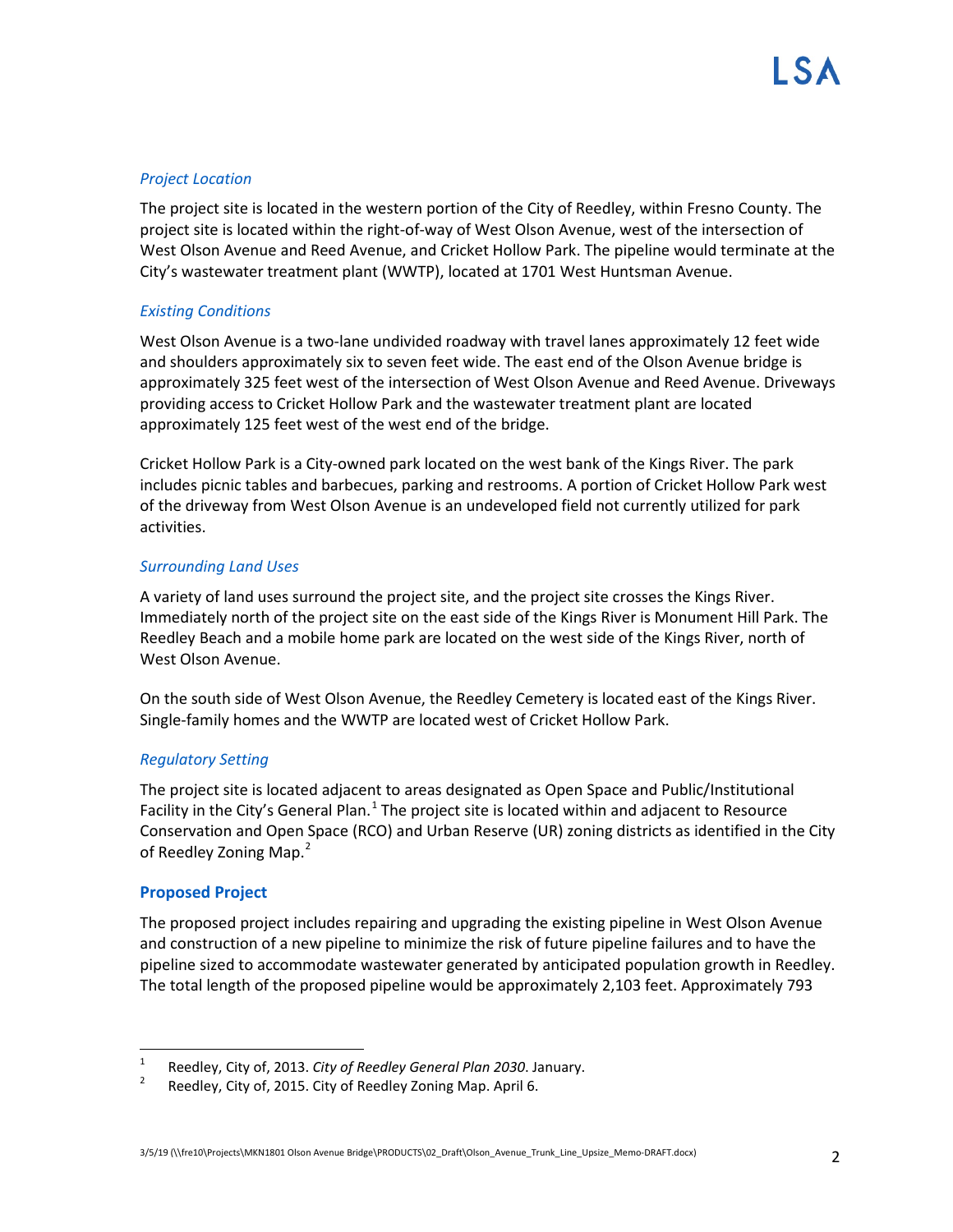## *Project Location*

The project site is located in the western portion of the City of Reedley, within Fresno County. The project site is located within the right-of-way of West Olson Avenue, west of the intersection of West Olson Avenue and Reed Avenue, and Cricket Hollow Park. The pipeline would terminate at the City's wastewater treatment plant (WWTP), located at 1701 West Huntsman Avenue.

## *Existing Conditions*

West Olson Avenue is a two-lane undivided roadway with travel lanes approximately 12 feet wide and shoulders approximately six to seven feet wide. The east end of the Olson Avenue bridge is approximately 325 feet west of the intersection of West Olson Avenue and Reed Avenue. Driveways providing access to Cricket Hollow Park and the wastewater treatment plant are located approximately 125 feet west of the west end of the bridge.

Cricket Hollow Park is a City-owned park located on the west bank of the Kings River. The park includes picnic tables and barbecues, parking and restrooms. A portion of Cricket Hollow Park west of the driveway from West Olson Avenue is an undeveloped field not currently utilized for park activities.

### *Surrounding Land Uses*

A variety of land uses surround the project site, and the project site crosses the Kings River. Immediately north of the project site on the east side of the Kings River is Monument Hill Park. The Reedley Beach and a mobile home park are located on the west side of the Kings River, north of West Olson Avenue.

On the south side of West Olson Avenue, the Reedley Cemetery is located east of the Kings River. Single-family homes and the WWTP are located west of Cricket Hollow Park.

## *Regulatory Setting*

The project site is located adjacent to areas designated as Open Space and Public/Institutional Facility in the City's General Plan.<sup>[1](#page-1-0)</sup> The project site is located within and adjacent to Resource Conservation and Open Space (RCO) and Urban Reserve (UR) zoning districts as identified in the City of Reedley Zoning Map.<sup>[2](#page-1-1)</sup>

#### **Proposed Project**

The proposed project includes repairing and upgrading the existing pipeline in West Olson Avenue and construction of a new pipeline to minimize the risk of future pipeline failures and to have the pipeline sized to accommodate wastewater generated by anticipated population growth in Reedley. The total length of the proposed pipeline would be approximately 2,103 feet. Approximately 793

<span id="page-1-0"></span><sup>&</sup>lt;sup>1</sup> Reedley, City of, 2013. *City of Reedley General Plan 2030*. January.<br><sup>2</sup> Reedley, City of, 2015. City of Reedley Zoning Map. April 6.

<span id="page-1-1"></span>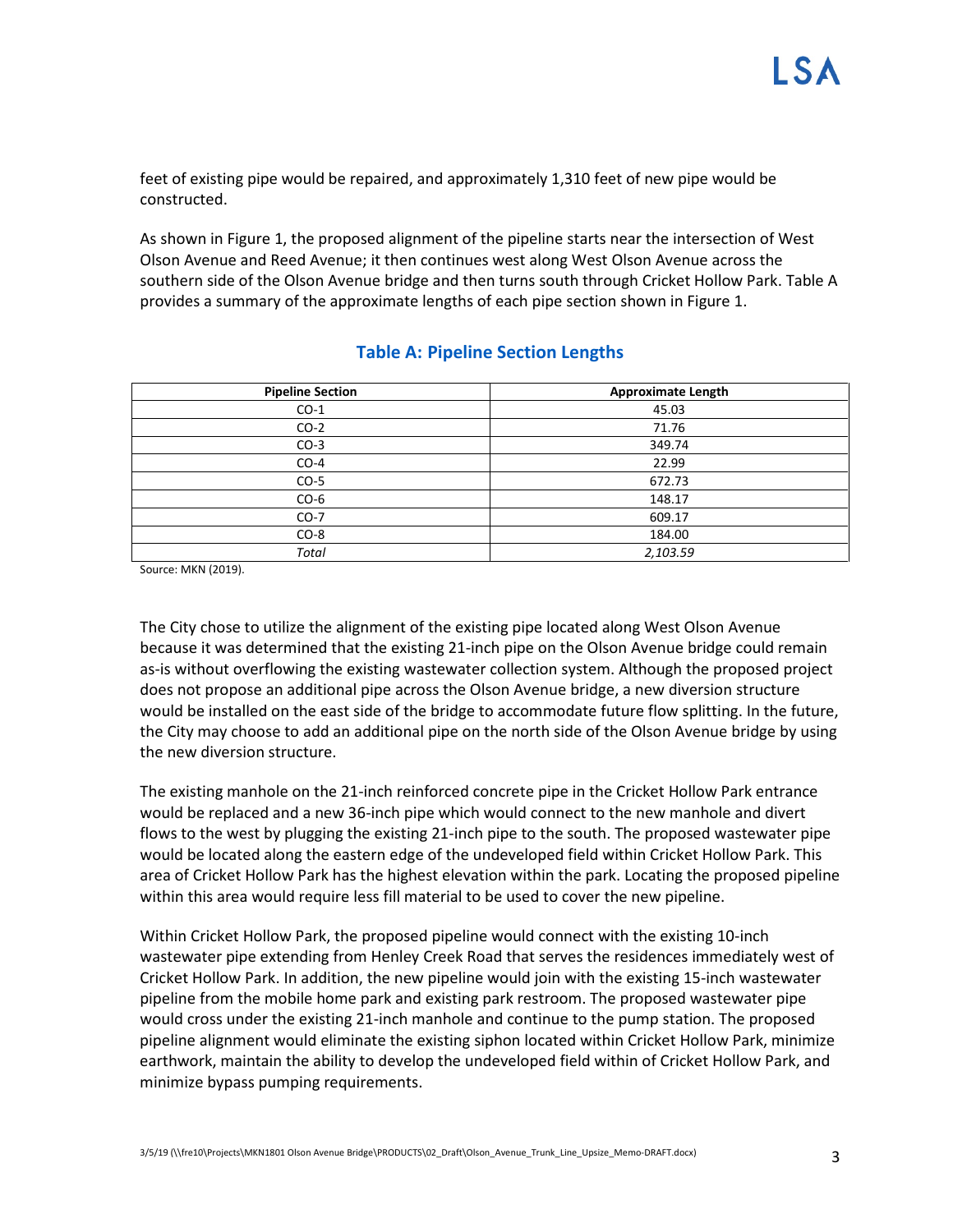feet of existing pipe would be repaired, and approximately 1,310 feet of new pipe would be constructed.

As shown in Figure 1, the proposed alignment of the pipeline starts near the intersection of West Olson Avenue and Reed Avenue; it then continues west along West Olson Avenue across the southern side of the Olson Avenue bridge and then turns south through Cricket Hollow Park. Table A provides a summary of the approximate lengths of each pipe section shown in Figure 1.

| <b>Pipeline Section</b> | <b>Approximate Length</b> |
|-------------------------|---------------------------|
| $CO-1$                  | 45.03                     |
| $CO-2$                  | 71.76                     |
| $CO-3$                  | 349.74                    |
| $CO-4$                  | 22.99                     |
| $CO-5$                  | 672.73                    |
| $CO-6$                  | 148.17                    |
| $CO-7$                  | 609.17                    |
| $CO-8$                  | 184.00                    |
| <b>Total</b>            | 2,103.59                  |

## **Table A: Pipeline Section Lengths**

Source: MKN (2019).

The City chose to utilize the alignment of the existing pipe located along West Olson Avenue because it was determined that the existing 21-inch pipe on the Olson Avenue bridge could remain as-is without overflowing the existing wastewater collection system. Although the proposed project does not propose an additional pipe across the Olson Avenue bridge, a new diversion structure would be installed on the east side of the bridge to accommodate future flow splitting. In the future, the City may choose to add an additional pipe on the north side of the Olson Avenue bridge by using the new diversion structure.

The existing manhole on the 21-inch reinforced concrete pipe in the Cricket Hollow Park entrance would be replaced and a new 36-inch pipe which would connect to the new manhole and divert flows to the west by plugging the existing 21-inch pipe to the south. The proposed wastewater pipe would be located along the eastern edge of the undeveloped field within Cricket Hollow Park. This area of Cricket Hollow Park has the highest elevation within the park. Locating the proposed pipeline within this area would require less fill material to be used to cover the new pipeline.

Within Cricket Hollow Park, the proposed pipeline would connect with the existing 10-inch wastewater pipe extending from Henley Creek Road that serves the residences immediately west of Cricket Hollow Park. In addition, the new pipeline would join with the existing 15-inch wastewater pipeline from the mobile home park and existing park restroom. The proposed wastewater pipe would cross under the existing 21-inch manhole and continue to the pump station. The proposed pipeline alignment would eliminate the existing siphon located within Cricket Hollow Park, minimize earthwork, maintain the ability to develop the undeveloped field within of Cricket Hollow Park, and minimize bypass pumping requirements.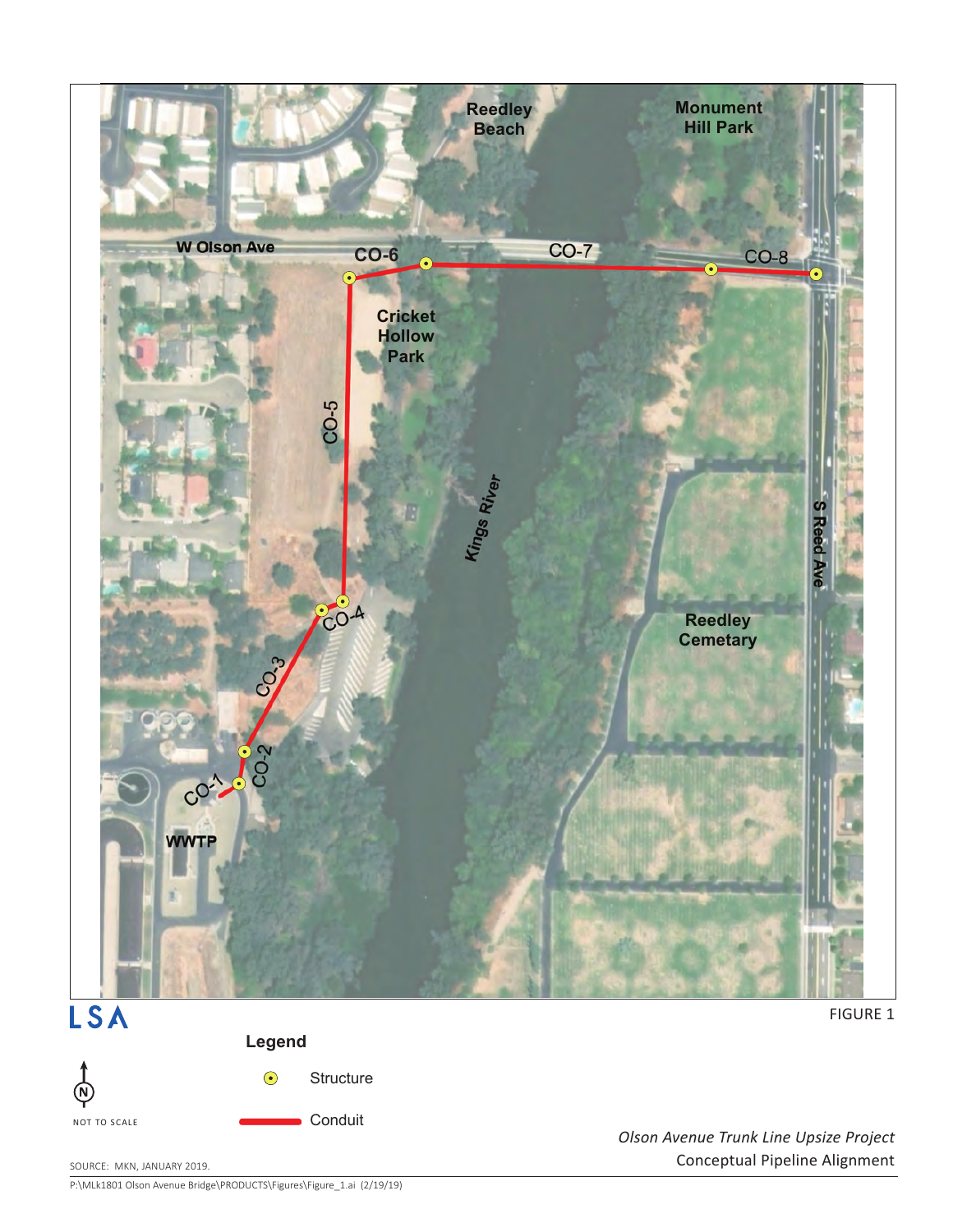



 $\bigodot$ **Structure** 

Conduit

P:\MLk1801 Olson Avenue Bridge\PRODUCTS\Figures\Figure\_1.ai (2/19/19)

*Olson Avenue Trunk Line Upsize Project* SOURCE: MKN, JANUARY 2019. NATURE 2019.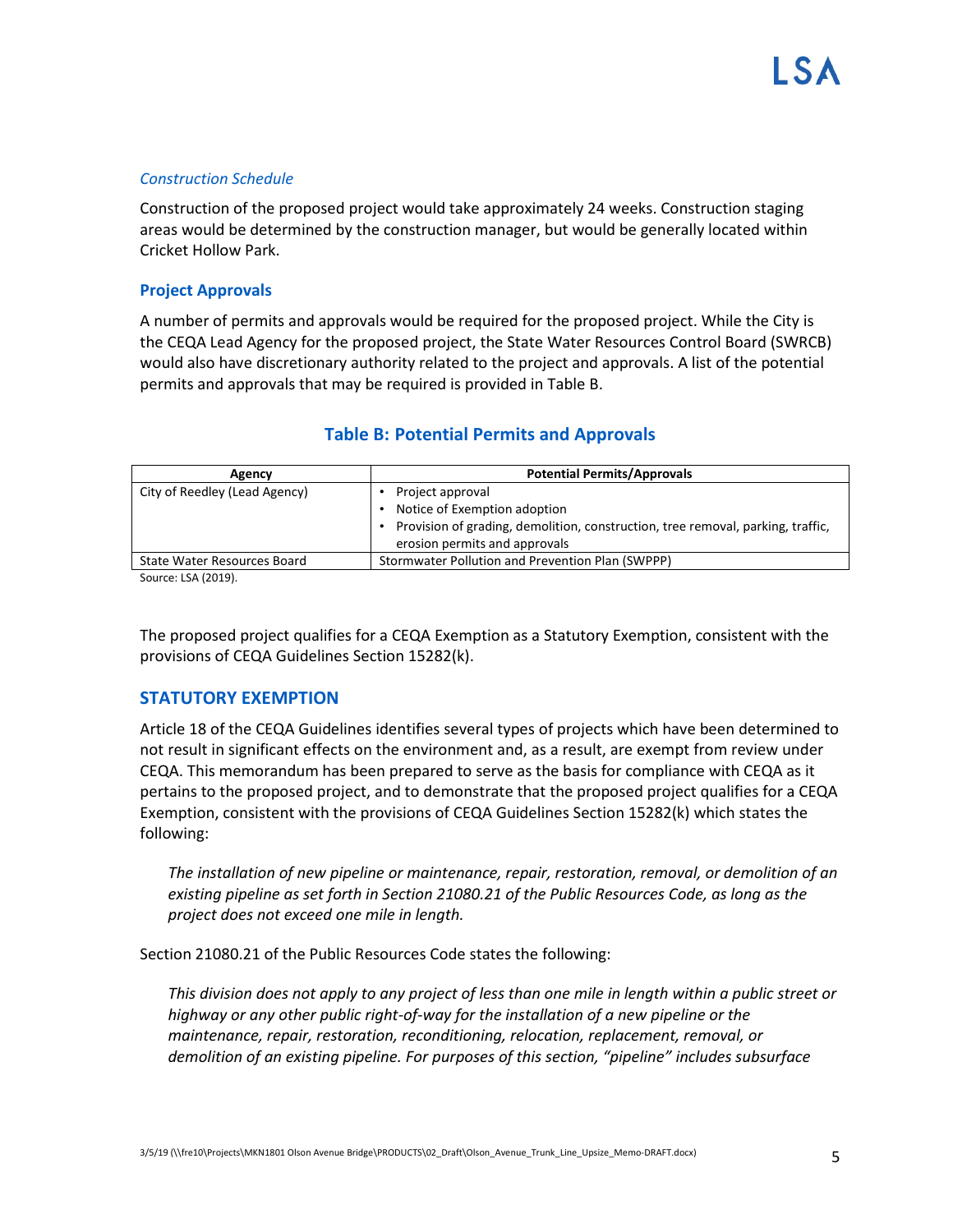## *Construction Schedule*

Construction of the proposed project would take approximately 24 weeks. Construction staging areas would be determined by the construction manager, but would be generally located within Cricket Hollow Park.

## **Project Approvals**

A number of permits and approvals would be required for the proposed project. While the City is the CEQA Lead Agency for the proposed project, the State Water Resources Control Board (SWRCB) would also have discretionary authority related to the project and approvals. A list of the potential permits and approvals that may be required is provided in Table B.

| Agency                        | <b>Potential Permits/Approvals</b>                                              |
|-------------------------------|---------------------------------------------------------------------------------|
| City of Reedley (Lead Agency) | Project approval                                                                |
|                               | Notice of Exemption adoption                                                    |
|                               | Provision of grading, demolition, construction, tree removal, parking, traffic, |
|                               | erosion permits and approvals                                                   |
| State Water Resources Board   | Stormwater Pollution and Prevention Plan (SWPPP)                                |

## **Table B: Potential Permits and Approvals**

Source: LSA (2019).

The proposed project qualifies for a CEQA Exemption as a Statutory Exemption, consistent with the provisions of CEQA Guidelines Section 15282(k).

## **STATUTORY EXEMPTION**

Article 18 of the CEQA Guidelines identifies several types of projects which have been determined to not result in significant effects on the environment and, as a result, are exempt from review under CEQA. This memorandum has been prepared to serve as the basis for compliance with CEQA as it pertains to the proposed project, and to demonstrate that the proposed project qualifies for a CEQA Exemption, consistent with the provisions of CEQA Guidelines Section 15282(k) which states the following:

*The installation of new pipeline or maintenance, repair, restoration, removal, or demolition of an existing pipeline as set forth in Section 21080.21 of the Public Resources Code, as long as the project does not exceed one mile in length.*

Section 21080.21 of the Public Resources Code states the following:

*This division does not apply to any project of less than one mile in length within a public street or highway or any other public right-of-way for the installation of a new pipeline or the maintenance, repair, restoration, reconditioning, relocation, replacement, removal, or demolition of an existing pipeline. For purposes of this section, "pipeline" includes subsurface*